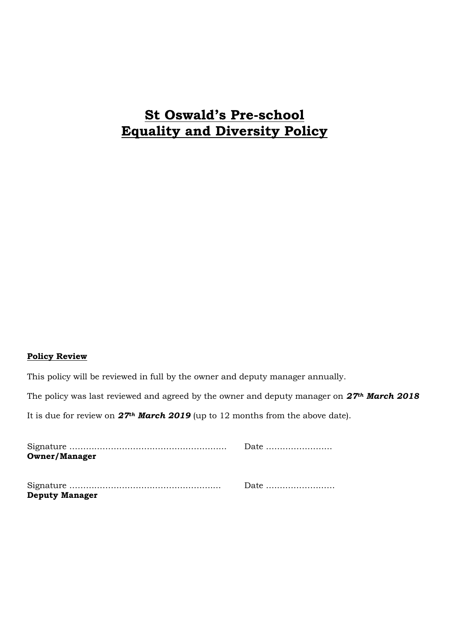# **St Oswald's Pre-school Equality and Diversity Policy**

#### **Policy Review**

This policy will be reviewed in full by the owner and deputy manager annually.

The policy was last reviewed and agreed by the owner and deputy manager on *27th March 2018*

It is due for review on *27th March 2019* (up to 12 months from the above date).

| <b>Owner/Manager</b>  |                                                  |
|-----------------------|--------------------------------------------------|
|                       |                                                  |
|                       | Date $\dots \dots \dots \dots \dots \dots \dots$ |
| <b>Deputy Manager</b> |                                                  |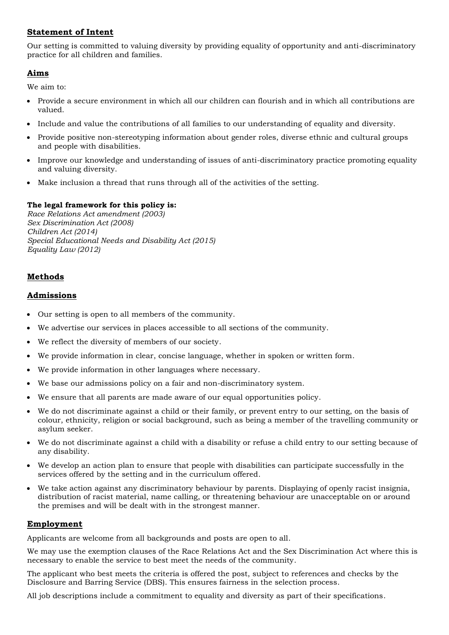## **Statement of Intent**

Our setting is committed to valuing diversity by providing equality of opportunity and anti-discriminatory practice for all children and families.

## **Aims**

We aim to:

- Provide a secure environment in which all our children can flourish and in which all contributions are valued.
- Include and value the contributions of all families to our understanding of equality and diversity.
- Provide positive non-stereotyping information about gender roles, diverse ethnic and cultural groups and people with disabilities.
- Improve our knowledge and understanding of issues of anti-discriminatory practice promoting equality and valuing diversity.
- Make inclusion a thread that runs through all of the activities of the setting.

#### **The legal framework for this policy is:**

*Race Relations Act amendment (2003) Sex Discrimination Act (2008) Children Act (2014) Special Educational Needs and Disability Act (2015) Equality Law (2012)*

# **Methods**

#### **Admissions**

- Our setting is open to all members of the community.
- We advertise our services in places accessible to all sections of the community.
- We reflect the diversity of members of our society.
- We provide information in clear, concise language, whether in spoken or written form.
- We provide information in other languages where necessary.
- We base our admissions policy on a fair and non-discriminatory system.
- We ensure that all parents are made aware of our equal opportunities policy.
- We do not discriminate against a child or their family, or prevent entry to our setting, on the basis of colour, ethnicity, religion or social background, such as being a member of the travelling community or asylum seeker.
- We do not discriminate against a child with a disability or refuse a child entry to our setting because of any disability.
- We develop an action plan to ensure that people with disabilities can participate successfully in the services offered by the setting and in the curriculum offered.
- We take action against any discriminatory behaviour by parents. Displaying of openly racist insignia, distribution of racist material, name calling, or threatening behaviour are unacceptable on or around the premises and will be dealt with in the strongest manner.

#### **Employment**

Applicants are welcome from all backgrounds and posts are open to all.

We may use the exemption clauses of the Race Relations Act and the Sex Discrimination Act where this is necessary to enable the service to best meet the needs of the community.

The applicant who best meets the criteria is offered the post, subject to references and checks by the Disclosure and Barring Service (DBS). This ensures fairness in the selection process.

All job descriptions include a commitment to equality and diversity as part of their specifications.